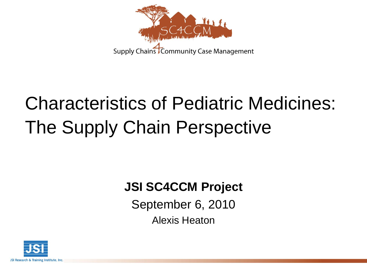

# Characteristics of Pediatric Medicines: The Supply Chain Perspective

#### **JSI SC4CCM Project**

September 6, 2010 Alexis Heaton

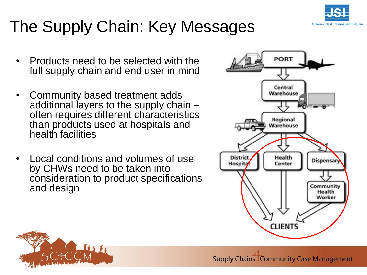

## The Supply Chain: Key Messages

- Products need to be selected with the full supply chain and end user in mind
- Community based treatment adds additional layers to the supply chain – often requires different characteristics than products used at hospitals and health facilities
- Local conditions and volumes of use by CHWs need to be taken into consideration to product specifications and design



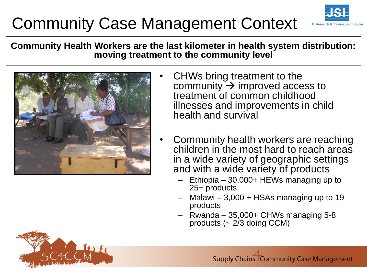#### Community Case Management Context





- CHWs bring treatment to the community  $\rightarrow$  improved access to treatment of common childhood illnesses and improvements in child health and survival
- Community health workers are reaching children in the most hard to reach areas in a wide variety of geographic settings and with a wide variety of products
	- Ethiopia 30,000+ HEWs managing up to 25+ products
	- $-$  Malawi  $-3,000 +$  HSAs managing up to 19 products
	- Rwanda 35,000+ CHWs managing 5-8 products (~ 2/3 doing CCM)

**Supply Chains Community Case Management** 

JSI Research & Training Institute, Inc.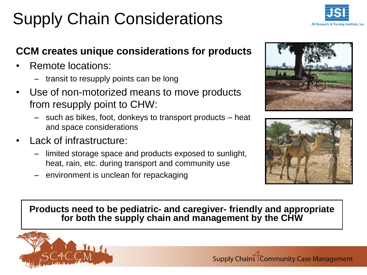## Supply Chain Considerations



#### **CCM creates unique considerations for products**

- Remote locations:
	- transit to resupply points can be long
- Use of non-motorized means to move products from resupply point to CHW:
	- such as bikes, foot, donkeys to transport products heat and space considerations
- Lack of infrastructure:
	- limited storage space and products exposed to sunlight, heat, rain, etc. during transport and community use
	- environment is unclean for repackaging





#### **Products need to be pediatric- and caregiver- friendly and appropriate for both the supply chain and management by the CHW**

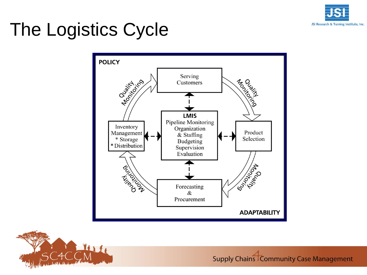![](_page_4_Picture_0.jpeg)

# The Logistics Cycle

![](_page_4_Figure_2.jpeg)

![](_page_4_Picture_3.jpeg)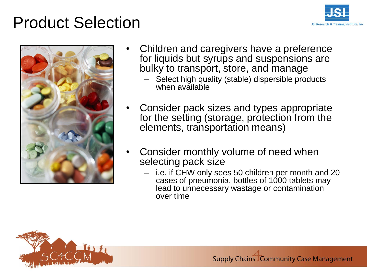#### Product Selection

![](_page_5_Picture_1.jpeg)

![](_page_5_Picture_2.jpeg)

- Children and caregivers have a preference for liquids but syrups and suspensions are bulky to transport, store, and manage
	- Select high quality (stable) dispersible products when available
- Consider pack sizes and types appropriate for the setting (storage, protection from the elements, transportation means)
- Consider monthly volume of need when selecting pack size
	- i.e. if CHW only sees 50 children per month and 20 cases of pneumonia, bottles of 1000 tablets may lead to unnecessary wastage or contamination over time

![](_page_5_Picture_8.jpeg)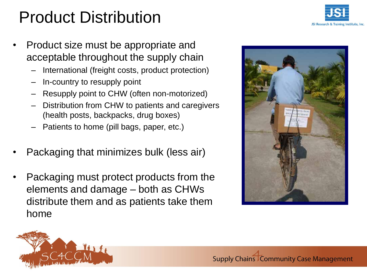## Product Distribution

JSI Research & Training Institute, Inc.

- Product size must be appropriate and acceptable throughout the supply chain
	- International (freight costs, product protection)
	- In-country to resupply point
	- Resupply point to CHW (often non-motorized)
	- Distribution from CHW to patients and caregivers (health posts, backpacks, drug boxes)
	- Patients to home (pill bags, paper, etc.)
- Packaging that minimizes bulk (less air)
- Packaging must protect products from the elements and damage – both as CHWs distribute them and as patients take them home

![](_page_6_Picture_10.jpeg)

![](_page_6_Picture_11.jpeg)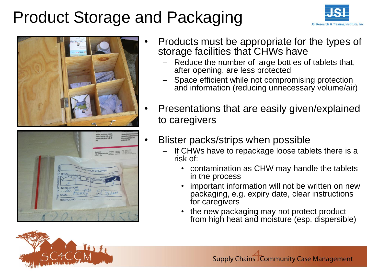#### Product Storage and Packaging

![](_page_7_Picture_1.jpeg)

![](_page_7_Picture_2.jpeg)

**WEROM CHILDREN** DATE 9/2M

- Products must be appropriate for the types of storage facilities that CHWs have
	- Reduce the number of large bottles of tablets that, after opening, are less protected
	- Space efficient while not compromising protection and information (reducing unnecessary volume/air)
- Presentations that are easily given/explained to caregivers
- Blister packs/strips when possible
	- If CHWs have to repackage loose tablets there is a risk of:
		- contamination as CHW may handle the tablets in the process
		- important information will not be written on new packaging, e.g. expiry date, clear instructions for caregivers
		- the new packaging may not protect product from high heat and moisture (esp. dispersible)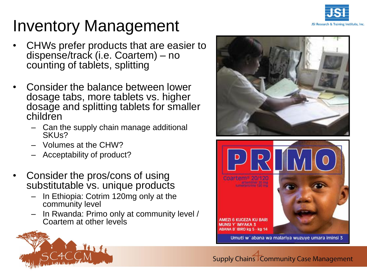![](_page_8_Picture_0.jpeg)

## Inventory Management

- CHWs prefer products that are easier to dispense/track (i.e. Coartem) – no counting of tablets, splitting
- Consider the balance between lower dosage tabs, more tablets vs. higher dosage and splitting tablets for smaller children
	- Can the supply chain manage additional SKUs?
	- Volumes at the CHW?
	- Acceptability of product?
- Consider the pros/cons of using substitutable vs. unique products
	- In Ethiopia: Cotrim 120mg only at the community level
	- In Rwanda: Primo only at community level / Coartem at other levels

![](_page_8_Picture_10.jpeg)

![](_page_8_Picture_11.jpeg)

![](_page_8_Picture_12.jpeg)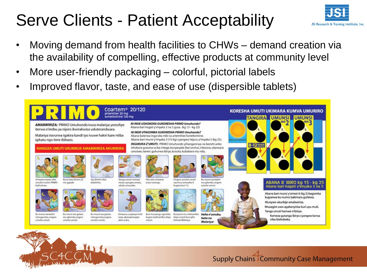## Serve Clients - Patient Acceptability

![](_page_9_Picture_1.jpeg)

- Moving demand from health facilities to CHWs demand creation via the availability of compelling, effective products at community level
- More user-friendly packaging colorful, pictorial labels
- Improved flavor, taste, and ease of use (dispersible tablets)

![](_page_9_Figure_5.jpeg)

![](_page_9_Picture_6.jpeg)